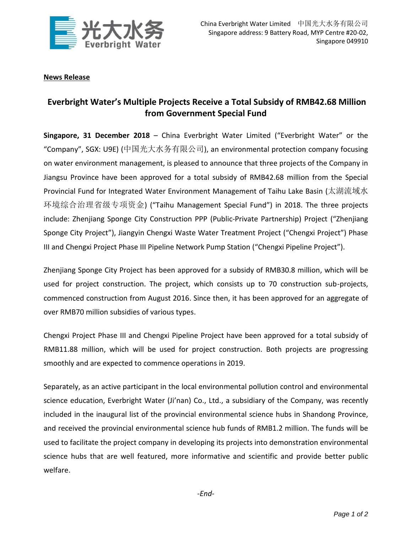

## **News Release**

## **Everbright Water's Multiple Projects Receive a Total Subsidy of RMB42.68 Million from Government Special Fund**

**Singapore, 31 December 2018** – China Everbright Water Limited ("Everbright Water" or the "Company", SGX: U9E) (中国光大水务有限公司), an environmental protection company focusing on water environment management, is pleased to announce that three projects of the Company in Jiangsu Province have been approved for a total subsidy of RMB42.68 million from the Special Provincial Fund for Integrated Water Environment Management of Taihu Lake Basin (太湖流域水 环境综合治理省级专项资金) ("Taihu Management Special Fund") in 2018. The three projects include: Zhenjiang Sponge City Construction PPP (Public-Private Partnership) Project ("Zhenjiang Sponge City Project"), Jiangyin Chengxi Waste Water Treatment Project ("Chengxi Project") Phase III and Chengxi Project Phase III Pipeline Network Pump Station ("Chengxi Pipeline Project").

Zhenjiang Sponge City Project has been approved for a subsidy of RMB30.8 million, which will be used for project construction. The project, which consists up to 70 construction sub-projects, commenced construction from August 2016. Since then, it has been approved for an aggregate of over RMB70 million subsidies of various types.

Chengxi Project Phase III and Chengxi Pipeline Project have been approved for a total subsidy of RMB11.88 million, which will be used for project construction. Both projects are progressing smoothly and are expected to commence operations in 2019.

Separately, as an active participant in the local environmental pollution control and environmental science education, Everbright Water (Ji'nan) Co., Ltd., a subsidiary of the Company, was recently included in the inaugural list of the provincial environmental science hubs in Shandong Province, and received the provincial environmental science hub funds of RMB1.2 million. The funds will be used to facilitate the project company in developing its projects into demonstration environmental science hubs that are well featured, more informative and scientific and provide better public welfare.